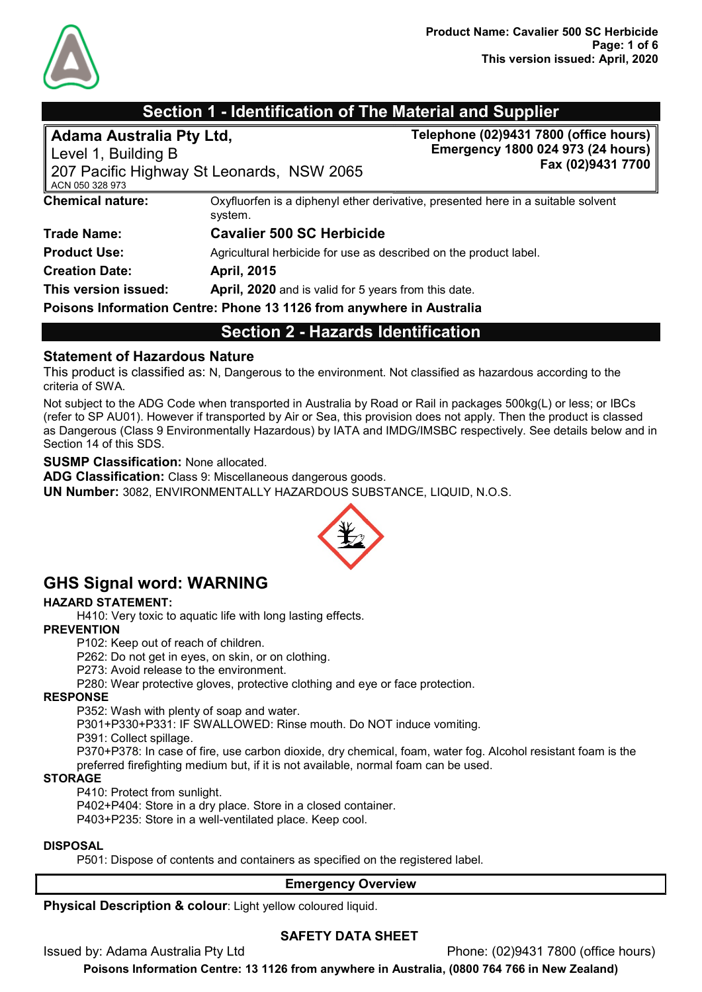

# Section 1 - Identification of The Material and Supplier

| Adama Australia Pty Ltd,<br>Level 1, Building B<br>ACN 050 328 973 | 207 Pacific Highway St Leonards, NSW 2065                                                   | Telephone (02)9431 7800 (office hours)<br>Emergency 1800 024 973 (24 hours)<br>Fax (02)9431 7700 |  |
|--------------------------------------------------------------------|---------------------------------------------------------------------------------------------|--------------------------------------------------------------------------------------------------|--|
| <b>Chemical nature:</b>                                            | Oxyfluorfen is a diphenyl ether derivative, presented here in a suitable solvent<br>system. |                                                                                                  |  |
| <b>Trade Name:</b>                                                 | <b>Cavalier 500 SC Herbicide</b>                                                            |                                                                                                  |  |
| <b>Product Use:</b>                                                | Agricultural herbicide for use as described on the product label.                           |                                                                                                  |  |
| <b>Creation Date:</b>                                              | <b>April, 2015</b>                                                                          |                                                                                                  |  |
| This version issued:                                               | April, 2020 and is valid for 5 years from this date.                                        |                                                                                                  |  |
|                                                                    | Poisons Information Centre: Phone 13 1126 from anywhere in Australia                        |                                                                                                  |  |
|                                                                    | <b>Section 2 - Hazards Identification</b>                                                   |                                                                                                  |  |

#### Statement of Hazardous Nature

This product is classified as: N, Dangerous to the environment. Not classified as hazardous according to the criteria of SWA.

Not subject to the ADG Code when transported in Australia by Road or Rail in packages 500kg(L) or less; or IBCs (refer to SP AU01). However if transported by Air or Sea, this provision does not apply. Then the product is classed as Dangerous (Class 9 Environmentally Hazardous) by IATA and IMDG/IMSBC respectively. See details below and in Section 14 of this SDS.

#### SUSMP Classification: None allocated.

ADG Classification: Class 9: Miscellaneous dangerous goods.

UN Number: 3082, ENVIRONMENTALLY HAZARDOUS SUBSTANCE, LIQUID, N.O.S.



# GHS Signal word: WARNING

#### HAZARD STATEMENT:

H410: Very toxic to aquatic life with long lasting effects.

#### **PREVENTION**

P102: Keep out of reach of children.

P262: Do not get in eyes, on skin, or on clothing.

P273: Avoid release to the environment.

P280: Wear protective gloves, protective clothing and eye or face protection.

#### RESPONSE

P352: Wash with plenty of soap and water.

P301+P330+P331: IF SWALLOWED: Rinse mouth. Do NOT induce vomiting.

P391: Collect spillage.

P370+P378: In case of fire, use carbon dioxide, dry chemical, foam, water fog. Alcohol resistant foam is the preferred firefighting medium but, if it is not available, normal foam can be used.

#### STORAGE

P410: Protect from sunlight.

P402+P404: Store in a dry place. Store in a closed container. P403+P235: Store in a well-ventilated place. Keep cool.

#### DISPOSAL

P501: Dispose of contents and containers as specified on the registered label.

#### Emergency Overview

Physical Description & colour: Light yellow coloured liquid.

#### SAFETY DATA SHEET

Issued by: Adama Australia Pty Ltd Phone: (02)9431 7800 (office hours)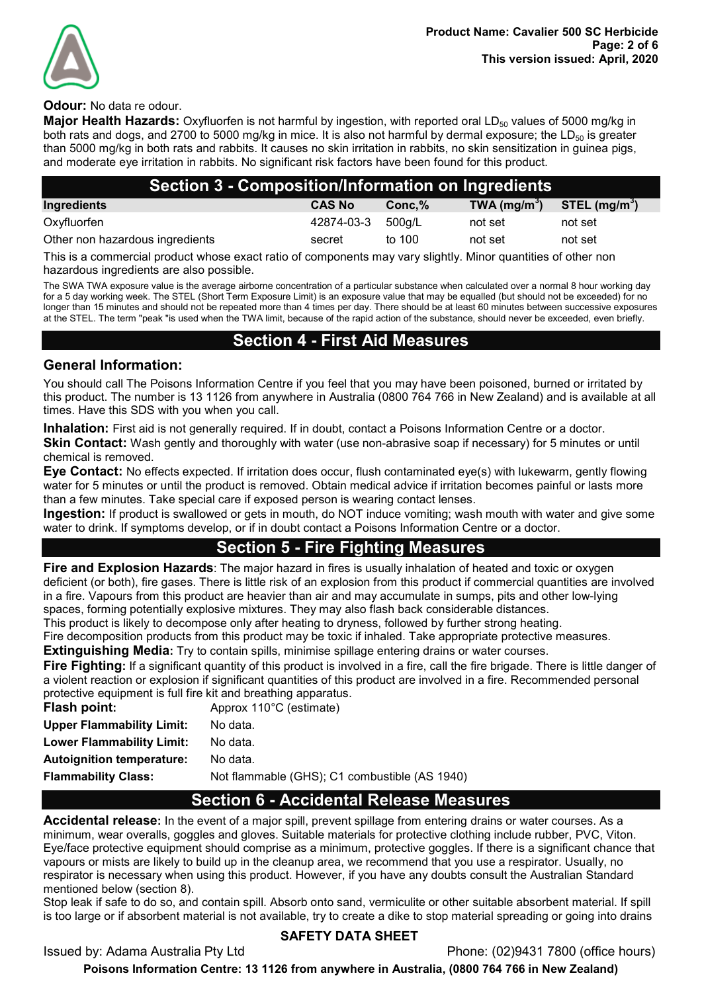

#### **Odour:** No data re odour.

Major Health Hazards: Oxyfluorfen is not harmful by ingestion, with reported oral LD<sub>50</sub> values of 5000 mg/kg in both rats and dogs, and 2700 to 5000 mg/kg in mice. It is also not harmful by dermal exposure; the  $LD_{50}$  is greater than 5000 mg/kg in both rats and rabbits. It causes no skin irritation in rabbits, no skin sensitization in guinea pigs, and moderate eye irritation in rabbits. No significant risk factors have been found for this product.

| Section 3 - Composition/Information on Ingredients                                                                |               |         |               |                |
|-------------------------------------------------------------------------------------------------------------------|---------------|---------|---------------|----------------|
| Ingredients                                                                                                       | <b>CAS No</b> | Conc, % | TWA $(mg/m3)$ | STEL $(mg/m3)$ |
| Oxyfluorfen                                                                                                       | 42874-03-3    | 500a/L  | not set       | not set        |
| Other non hazardous ingredients                                                                                   | secret        | to 100  | not set       | not set        |
| This is a common ship modulated whose constanting of common succession will be alleged and minimize of other mode |               |         |               |                |

This is a commercial product whose exact ratio of components may vary slightly. Minor quantities of other non hazardous ingredients are also possible.

The SWA TWA exposure value is the average airborne concentration of a particular substance when calculated over a normal 8 hour working day for a 5 day working week. The STEL (Short Term Exposure Limit) is an exposure value that may be equalled (but should not be exceeded) for no longer than 15 minutes and should not be repeated more than 4 times per day. There should be at least 60 minutes between successive exposures at the STEL. The term "peak "is used when the TWA limit, because of the rapid action of the substance, should never be exceeded, even briefly.

## Section 4 - First Aid Measures

#### General Information:

You should call The Poisons Information Centre if you feel that you may have been poisoned, burned or irritated by this product. The number is 13 1126 from anywhere in Australia (0800 764 766 in New Zealand) and is available at all times. Have this SDS with you when you call.

Inhalation: First aid is not generally required. If in doubt, contact a Poisons Information Centre or a doctor. Skin Contact: Wash gently and thoroughly with water (use non-abrasive soap if necessary) for 5 minutes or until chemical is removed.

Eye Contact: No effects expected. If irritation does occur, flush contaminated eye(s) with lukewarm, gently flowing water for 5 minutes or until the product is removed. Obtain medical advice if irritation becomes painful or lasts more than a few minutes. Take special care if exposed person is wearing contact lenses.

Ingestion: If product is swallowed or gets in mouth, do NOT induce vomiting; wash mouth with water and give some water to drink. If symptoms develop, or if in doubt contact a Poisons Information Centre or a doctor.

## Section 5 - Fire Fighting Measures

Fire and Explosion Hazards: The major hazard in fires is usually inhalation of heated and toxic or oxygen deficient (or both), fire gases. There is little risk of an explosion from this product if commercial quantities are involved in a fire. Vapours from this product are heavier than air and may accumulate in sumps, pits and other low-lying spaces, forming potentially explosive mixtures. They may also flash back considerable distances.

This product is likely to decompose only after heating to dryness, followed by further strong heating.

Fire decomposition products from this product may be toxic if inhaled. Take appropriate protective measures.

**Extinguishing Media:** Try to contain spills, minimise spillage entering drains or water courses.

Fire Fighting: If a significant quantity of this product is involved in a fire, call the fire brigade. There is little danger of a violent reaction or explosion if significant quantities of this product are involved in a fire. Recommended personal protective equipment is full fire kit and breathing apparatus.

| Flash point:                     | Approx 110°C (estimate)                       |
|----------------------------------|-----------------------------------------------|
| <b>Upper Flammability Limit:</b> | No data.                                      |
| Lower Flammability Limit:        | No data.                                      |
| Autoignition temperature:        | No data.                                      |
| <b>Flammability Class:</b>       | Not flammable (GHS); C1 combustible (AS 1940) |

## Section 6 - Accidental Release Measures

Accidental release: In the event of a major spill, prevent spillage from entering drains or water courses. As a minimum, wear overalls, goggles and gloves. Suitable materials for protective clothing include rubber, PVC, Viton. Eye/face protective equipment should comprise as a minimum, protective goggles. If there is a significant chance that vapours or mists are likely to build up in the cleanup area, we recommend that you use a respirator. Usually, no respirator is necessary when using this product. However, if you have any doubts consult the Australian Standard mentioned below (section 8).

Stop leak if safe to do so, and contain spill. Absorb onto sand, vermiculite or other suitable absorbent material. If spill is too large or if absorbent material is not available, try to create a dike to stop material spreading or going into drains

#### Issued by: Adama Australia Pty Ltd Phone: (02)9431 7800 (office hours)

#### SAFETY DATA SHEET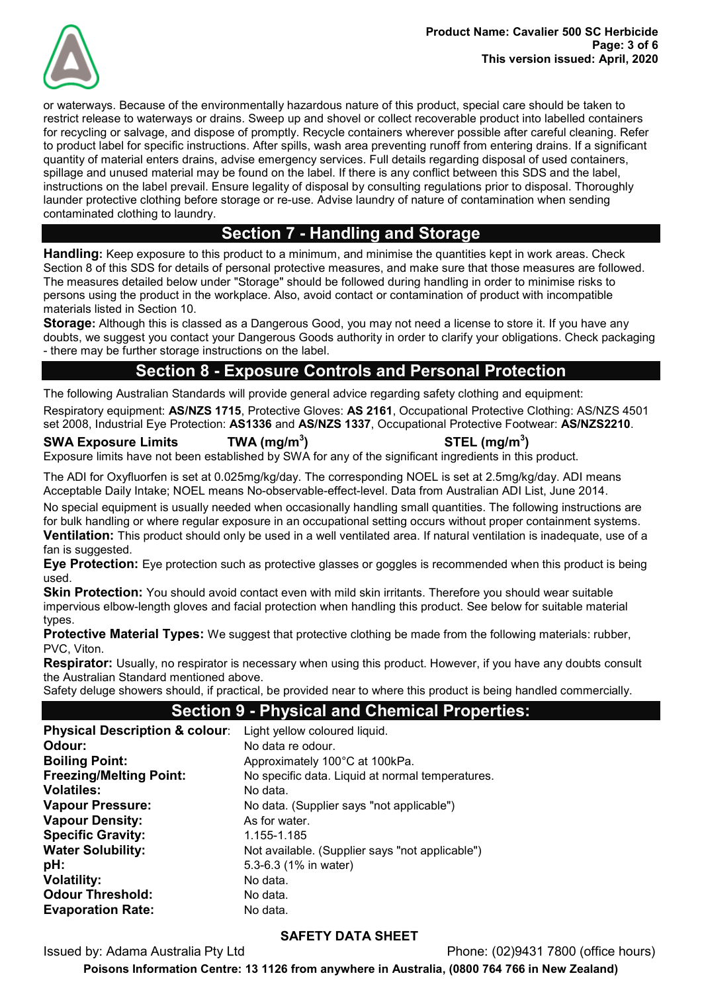

or waterways. Because of the environmentally hazardous nature of this product, special care should be taken to restrict release to waterways or drains. Sweep up and shovel or collect recoverable product into labelled containers for recycling or salvage, and dispose of promptly. Recycle containers wherever possible after careful cleaning. Refer to product label for specific instructions. After spills, wash area preventing runoff from entering drains. If a significant quantity of material enters drains, advise emergency services. Full details regarding disposal of used containers, spillage and unused material may be found on the label. If there is any conflict between this SDS and the label, instructions on the label prevail. Ensure legality of disposal by consulting regulations prior to disposal. Thoroughly launder protective clothing before storage or re-use. Advise laundry of nature of contamination when sending contaminated clothing to laundry.

# Section 7 - Handling and Storage

Handling: Keep exposure to this product to a minimum, and minimise the quantities kept in work areas. Check Section 8 of this SDS for details of personal protective measures, and make sure that those measures are followed. The measures detailed below under "Storage" should be followed during handling in order to minimise risks to persons using the product in the workplace. Also, avoid contact or contamination of product with incompatible materials listed in Section 10.

Storage: Although this is classed as a Dangerous Good, you may not need a license to store it. If you have any doubts, we suggest you contact your Dangerous Goods authority in order to clarify your obligations. Check packaging - there may be further storage instructions on the label.

# Section 8 - Exposure Controls and Personal Protection

The following Australian Standards will provide general advice regarding safety clothing and equipment: Respiratory equipment: AS/NZS 1715, Protective Gloves: AS 2161, Occupational Protective Clothing: AS/NZS 4501 set 2008, Industrial Eye Protection: AS1336 and AS/NZS 1337, Occupational Protective Footwear: AS/NZS2210.

SWA Exposure Limits  $TWA (mg/m<sup>3</sup>)$  $\mathsf{STEL}\;(\mathsf{mg/m^3})$ Exposure limits have not been established by SWA for any of the significant ingredients in this product.

The ADI for Oxyfluorfen is set at 0.025mg/kg/day. The corresponding NOEL is set at 2.5mg/kg/day. ADI means Acceptable Daily Intake; NOEL means No-observable-effect-level. Data from Australian ADI List, June 2014.

No special equipment is usually needed when occasionally handling small quantities. The following instructions are for bulk handling or where regular exposure in an occupational setting occurs without proper containment systems. Ventilation: This product should only be used in a well ventilated area. If natural ventilation is inadequate, use of a fan is suggested.

**Eye Protection:** Eye protection such as protective glasses or goggles is recommended when this product is being used.

Skin Protection: You should avoid contact even with mild skin irritants. Therefore you should wear suitable impervious elbow-length gloves and facial protection when handling this product. See below for suitable material types.

**Protective Material Types:** We suggest that protective clothing be made from the following materials: rubber, PVC, Viton.

Respirator: Usually, no respirator is necessary when using this product. However, if you have any doubts consult the Australian Standard mentioned above.

Safety deluge showers should, if practical, be provided near to where this product is being handled commercially.

## Section 9 - Physical and Chemical Properties:

| <b>Physical Description &amp; colour:</b> | Light yellow coloured liquid.                    |
|-------------------------------------------|--------------------------------------------------|
| Odour:                                    | No data re odour.                                |
| <b>Boiling Point:</b>                     | Approximately 100°C at 100kPa.                   |
| <b>Freezing/Melting Point:</b>            | No specific data. Liquid at normal temperatures. |
| <b>Volatiles:</b>                         | No data.                                         |
| <b>Vapour Pressure:</b>                   | No data. (Supplier says "not applicable")        |
| <b>Vapour Density:</b>                    | As for water.                                    |
| <b>Specific Gravity:</b>                  | 1.155-1.185                                      |
| <b>Water Solubility:</b>                  | Not available. (Supplier says "not applicable")  |
| pH:                                       | 5.3-6.3 (1% in water)                            |
| <b>Volatility:</b>                        | No data.                                         |
| <b>Odour Threshold:</b>                   | No data.                                         |
| <b>Evaporation Rate:</b>                  | No data.                                         |
|                                           |                                                  |

## SAFETY DATA SHEET

Issued by: Adama Australia Pty Ltd Phone: (02)9431 7800 (office hours)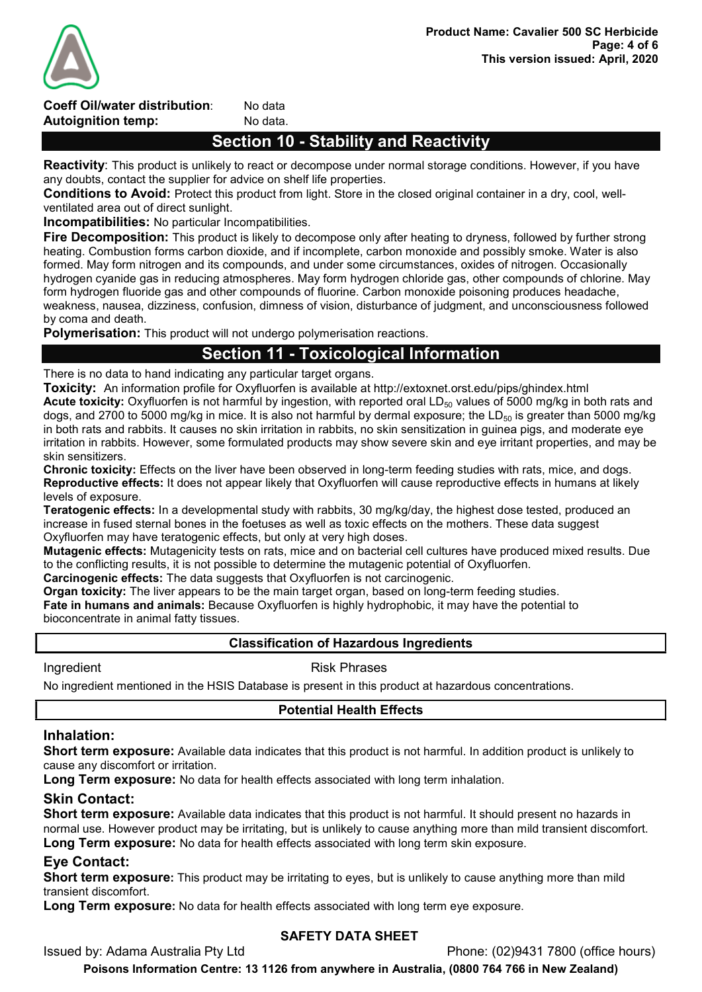

Coeff Oil/water distribution: No data **Autoignition temp:** No data.

# Section 10 - Stability and Reactivity

Reactivity: This product is unlikely to react or decompose under normal storage conditions. However, if you have any doubts, contact the supplier for advice on shelf life properties.

Conditions to Avoid: Protect this product from light. Store in the closed original container in a dry, cool, wellventilated area out of direct sunlight.

Incompatibilities: No particular Incompatibilities.

Fire Decomposition: This product is likely to decompose only after heating to dryness, followed by further strong heating. Combustion forms carbon dioxide, and if incomplete, carbon monoxide and possibly smoke. Water is also formed. May form nitrogen and its compounds, and under some circumstances, oxides of nitrogen. Occasionally hydrogen cyanide gas in reducing atmospheres. May form hydrogen chloride gas, other compounds of chlorine. May form hydrogen fluoride gas and other compounds of fluorine. Carbon monoxide poisoning produces headache, weakness, nausea, dizziness, confusion, dimness of vision, disturbance of judgment, and unconsciousness followed by coma and death.

**Polymerisation:** This product will not undergo polymerisation reactions.

# Section 11 - Toxicological Information

There is no data to hand indicating any particular target organs.

Toxicity: An information profile for Oxyfluorfen is available at http://extoxnet.orst.edu/pips/ghindex.html Acute toxicity: Oxyfluorfen is not harmful by ingestion, with reported oral LD<sub>50</sub> values of 5000 mg/kg in both rats and dogs, and 2700 to 5000 mg/kg in mice. It is also not harmful by dermal exposure; the  $LD_{50}$  is greater than 5000 mg/kg in both rats and rabbits. It causes no skin irritation in rabbits, no skin sensitization in guinea pigs, and moderate eye irritation in rabbits. However, some formulated products may show severe skin and eye irritant properties, and may be skin sensitizers.

Chronic toxicity: Effects on the liver have been observed in long-term feeding studies with rats, mice, and dogs. Reproductive effects: It does not appear likely that Oxyfluorfen will cause reproductive effects in humans at likely levels of exposure.

Teratogenic effects: In a developmental study with rabbits, 30 mg/kg/day, the highest dose tested, produced an increase in fused sternal bones in the foetuses as well as toxic effects on the mothers. These data suggest Oxyfluorfen may have teratogenic effects, but only at very high doses.

Mutagenic effects: Mutagenicity tests on rats, mice and on bacterial cell cultures have produced mixed results. Due to the conflicting results, it is not possible to determine the mutagenic potential of Oxyfluorfen.

Carcinogenic effects: The data suggests that Oxyfluorfen is not carcinogenic.

**Organ toxicity:** The liver appears to be the main target organ, based on long-term feeding studies.

Fate in humans and animals: Because Oxyfluorfen is highly hydrophobic, it may have the potential to bioconcentrate in animal fatty tissues.

#### Classification of Hazardous Ingredients

Ingredient **Risk Phrases** 

No ingredient mentioned in the HSIS Database is present in this product at hazardous concentrations.

## Potential Health Effects

#### Inhalation:

Short term exposure: Available data indicates that this product is not harmful. In addition product is unlikely to cause any discomfort or irritation.

**Long Term exposure:** No data for health effects associated with long term inhalation.

#### Skin Contact:

Short term exposure: Available data indicates that this product is not harmful. It should present no hazards in normal use. However product may be irritating, but is unlikely to cause anything more than mild transient discomfort. Long Term exposure: No data for health effects associated with long term skin exposure.

## Eye Contact:

Short term exposure: This product may be irritating to eyes, but is unlikely to cause anything more than mild transient discomfort.

Long Term exposure: No data for health effects associated with long term eye exposure.

## SAFETY DATA SHEET

Issued by: Adama Australia Pty Ltd Phone: (02)9431 7800 (office hours)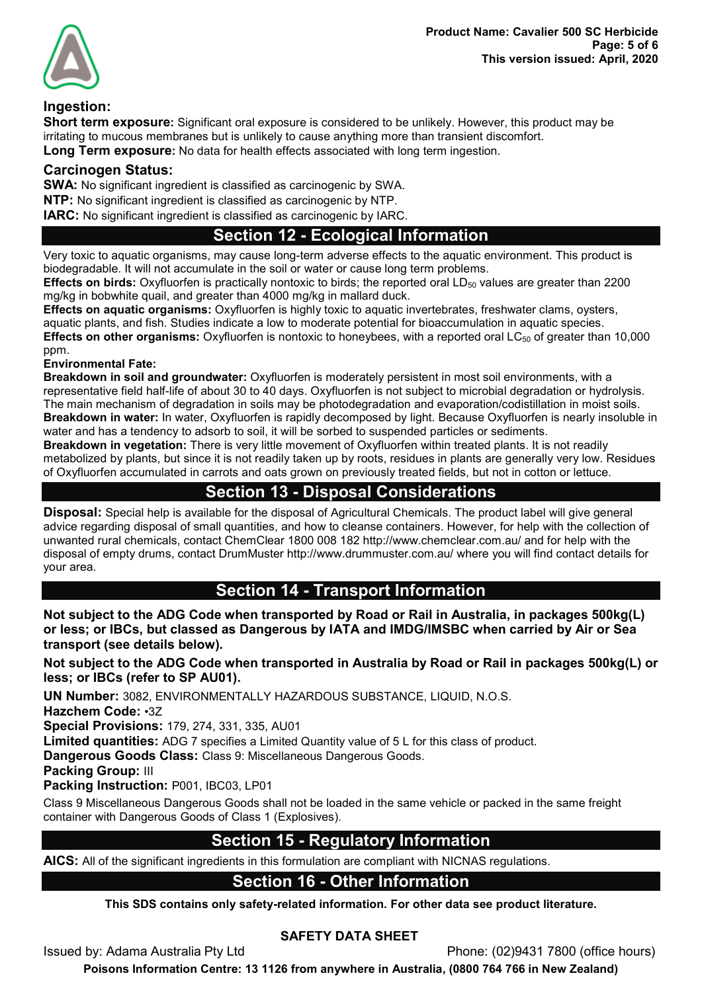



#### Ingestion:

Short term exposure: Significant oral exposure is considered to be unlikely. However, this product may be irritating to mucous membranes but is unlikely to cause anything more than transient discomfort. Long Term exposure: No data for health effects associated with long term ingestion.

## Carcinogen Status:

SWA: No significant ingredient is classified as carcinogenic by SWA. NTP: No significant ingredient is classified as carcinogenic by NTP. IARC: No significant ingredient is classified as carcinogenic by IARC.

## Section 12 - Ecological Information

Very toxic to aquatic organisms, may cause long-term adverse effects to the aquatic environment. This product is biodegradable. It will not accumulate in the soil or water or cause long term problems.

**Effects on birds:** Oxyfluorfen is practically nontoxic to birds; the reported oral  $LD_{50}$  values are greater than 2200 mg/kg in bobwhite quail, and greater than 4000 mg/kg in mallard duck.

Effects on aquatic organisms: Oxyfluorfen is highly toxic to aquatic invertebrates, freshwater clams, oysters, aquatic plants, and fish. Studies indicate a low to moderate potential for bioaccumulation in aquatic species. **Effects on other organisms:** Oxyfluorfen is nontoxic to honeybees, with a reported oral LC $_{50}$  of greater than 10,000 ppm.

Environmental Fate:

Breakdown in soil and groundwater: Oxyfluorfen is moderately persistent in most soil environments, with a representative field half-life of about 30 to 40 days. Oxyfluorfen is not subject to microbial degradation or hydrolysis. The main mechanism of degradation in soils may be photodegradation and evaporation/codistillation in moist soils. Breakdown in water: In water, Oxyfluorfen is rapidly decomposed by light. Because Oxyfluorfen is nearly insoluble in water and has a tendency to adsorb to soil, it will be sorbed to suspended particles or sediments.

Breakdown in vegetation: There is very little movement of Oxyfluorfen within treated plants. It is not readily metabolized by plants, but since it is not readily taken up by roots, residues in plants are generally very low. Residues of Oxyfluorfen accumulated in carrots and oats grown on previously treated fields, but not in cotton or lettuce.

# Section 13 - Disposal Considerations

Disposal: Special help is available for the disposal of Agricultural Chemicals. The product label will give general advice regarding disposal of small quantities, and how to cleanse containers. However, for help with the collection of unwanted rural chemicals, contact ChemClear 1800 008 182 http://www.chemclear.com.au/ and for help with the disposal of empty drums, contact DrumMuster http://www.drummuster.com.au/ where you will find contact details for your area.

## Section 14 - Transport Information

Not subject to the ADG Code when transported by Road or Rail in Australia, in packages 500kg(L) or less; or IBCs, but classed as Dangerous by IATA and IMDG/IMSBC when carried by Air or Sea transport (see details below).

Not subject to the ADG Code when transported in Australia by Road or Rail in packages 500kg(L) or less; or IBCs (refer to SP AU01).

UN Number: 3082, ENVIRONMENTALLY HAZARDOUS SUBSTANCE, LIQUID, N.O.S.

Hazchem Code: •3Z

Special Provisions: 179, 274, 331, 335, AU01

Limited quantities: ADG 7 specifies a Limited Quantity value of 5 L for this class of product.

Dangerous Goods Class: Class 9: Miscellaneous Dangerous Goods.

Packing Group: III

Packing Instruction: P001, IBC03, LP01

Class 9 Miscellaneous Dangerous Goods shall not be loaded in the same vehicle or packed in the same freight container with Dangerous Goods of Class 1 (Explosives).

# Section 15 - Regulatory Information

AICS: All of the significant ingredients in this formulation are compliant with NICNAS regulations.

## Section 16 - Other Information

This SDS contains only safety-related information. For other data see product literature.

## SAFETY DATA SHEET

Issued by: Adama Australia Pty Ltd Phone: (02)9431 7800 (office hours)